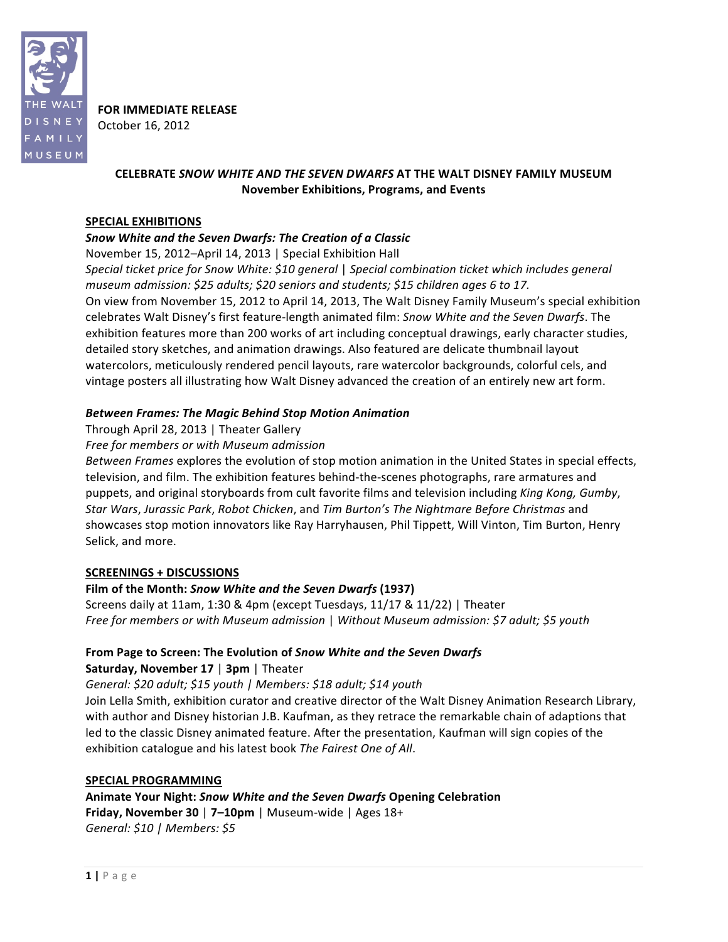

**FOR IMMEDIATE RELEASE** October+16,+2012

## **CELEBRATE** *SNOW%WHITE%AND%THE%SEVEN%DWARFS* **AT"THE"WALT"DISNEY"FAMILY"MUSEUM November Exhibitions, Programs, and"Events**

### **SPECIAL EXHIBITIONS**

### *Snow%White%and%the%Seven%Dwarfs:%The%Creation%of%a%Classic*

November 15, 2012–April 14, 2013 | Special Exhibition Hall

*Special ticket price for Snow White: \$10 general | Special combination ticket which includes general museum admission: \$25 adults; \$20 seniors and students; \$15 children ages 6 to 17.* On view from November 15, 2012 to April 14, 2013, The Walt Disney Family Museum's special exhibition celebrates Walt Disney's first feature-length animated film: *Snow White and the Seven Dwarfs*. The exhibition features more than 200 works of art including conceptual drawings, early character studies, detailed story sketches, and animation drawings. Also featured are delicate thumbnail layout watercolors, meticulously rendered pencil layouts, rare watercolor backgrounds, colorful cels, and vintage posters all illustrating how Walt Disney advanced the creation of an entirely new art form.

### *Between%Frames:%The%Magic%Behind Stop%Motion%Animation*

Through April 28, 2013 | Theater Gallery

Free for members or with Museum admission

*Between Frames* explores the evolution of stop motion animation in the United States in special effects, television, and film. The exhibition features behind-the-scenes photographs, rare armatures and puppets, and original storyboards from cult favorite films and television including *King Kong, Gumby*, *Star Wars, Jurassic Park, Robot Chicken, and Tim Burton's The Nightmare Before Christmas and* showcases stop motion innovators like Ray Harryhausen, Phil Tippett, Will Vinton, Tim Burton, Henry Selick, and more.

### **SCREENINGS + DISCUSSIONS**

## Film of the Month: *Snow White and the Seven Dwarfs* (1937)

Screens daily at 11am, 1:30 & 4pm (except Tuesdays,  $11/17$  &  $11/22$ ) | Theater *Free for members or with Museum admission | Without Museum admission: \$7 adult; \$5 youth* 

### From Page to Screen: The Evolution of Snow White and the Seven Dwarfs **Saturday, November 17 | 3pm | Theater**

*General:(\$20(adult; \$15(youth(|(Members:(\$18 adult;(\$14 youth*

Join Lella Smith, exhibition curator and creative director of the Walt Disney Animation Research Library, with author and Disney historian J.B. Kaufman, as they retrace the remarkable chain of adaptions that led to the classic Disney animated feature. After the presentation, Kaufman will sign copies of the exhibition catalogue and his latest book The Fairest One of All.

### SPECIAL PROGRAMMING

**Animate"Your"Night:"***Snow%White%and%the%Seven%Dwarfs* **Opening"Celebration Friday, November 30 | 7–10pm |** Museum-wide | Ages 18+ *General:* \$10 *| Members:* \$5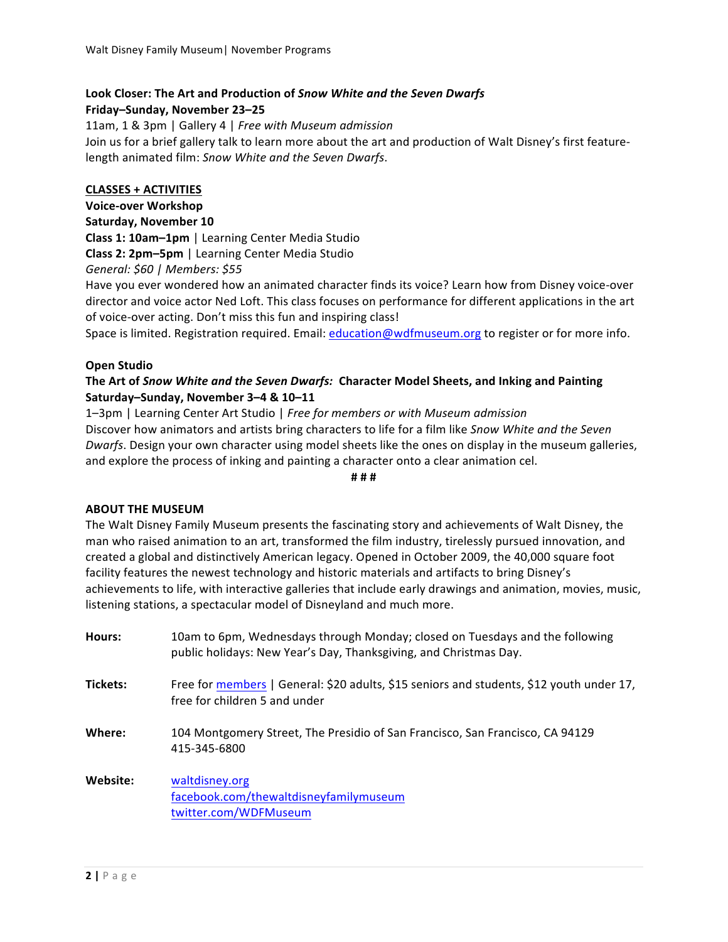# Look Closer: The Art and Production of *Snow White and the Seven Dwarfs*

Friday-Sunday, November 23-25

11am, 1 & 3pm | Gallery 4 | *Free with Museum admission* Join us for a brief gallery talk to learn more about the art and production of Walt Disney's first featurelength animated film: Snow White and the Seven Dwarfs.

## **CLASSES + ACTIVITIES**

**Voice-over Workshop Saturday, November 10 Class 1: 10am-1pm** | Learning Center Media Studio **Class 2: 2pm–5pm** | Learning Center Media Studio *General:(\$60 |(Members:(\$55*

Have you ever wondered how an animated character finds its voice? Learn how from Disney voice-over director and voice actor Ned Loft. This class focuses on performance for different applications in the art of voice-over acting. Don't miss this fun and inspiring class!

Space is limited. Registration required. Email: education@wdfmuseum.org to register or for more info.

## **Open Studio**

## The Art of Snow White and the Seven Dwarfs: Character Model Sheets, and Inking and Painting Saturday–Sunday, November 3–4 & 10–11

1–3pm | Learning Center Art Studio | Free for members or with Museum admission Discover how animators and artists bring characters to life for a film like Snow White and the Seven *Dwarfs*. Design your own character using model sheets like the ones on display in the museum galleries, and explore the process of inking and painting a character onto a clear animation cel.

**#"#"#**

## **ABOUT THE MUSEUM**

The Walt Disney Family Museum presents the fascinating story and achievements of Walt Disney, the man who raised animation to an art, transformed the film industry, tirelessly pursued innovation, and created a global and distinctively American legacy. Opened in October 2009, the 40,000 square foot facility features the newest technology and historic materials and artifacts to bring Disney's achievements to life, with interactive galleries that include early drawings and animation, movies, music, listening stations, a spectacular model of Disneyland and much more.

| Hours:   | 10am to 6pm, Wednesdays through Monday; closed on Tuesdays and the following<br>public holidays: New Year's Day, Thanksgiving, and Christmas Day. |
|----------|---------------------------------------------------------------------------------------------------------------------------------------------------|
| Tickets: | Free for members   General: \$20 adults, \$15 seniors and students, \$12 youth under 17,<br>free for children 5 and under                         |
| Where:   | 104 Montgomery Street, The Presidio of San Francisco, San Francisco, CA 94129<br>415-345-6800                                                     |
| Website: | waltdisney.org<br>facebook.com/thewaltdisneyfamilymuseum<br>twitter.com/WDFMuseum                                                                 |